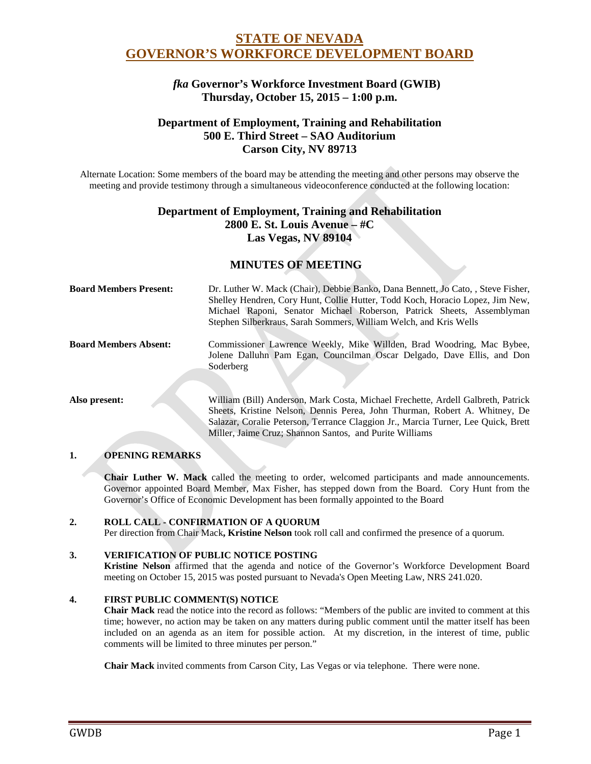# **STATE OF NEVADA GOVERNOR'S WORKFORCE DEVELOPMENT BOARD**

## *fka* **Governor's Workforce Investment Board (GWIB) Thursday, October 15, 2015 – 1:00 p.m.**

## **Department of Employment, Training and Rehabilitation 500 E. Third Street – SAO Auditorium Carson City, NV 89713**

Alternate Location: Some members of the board may be attending the meeting and other persons may observe the meeting and provide testimony through a simultaneous videoconference conducted at the following location:

## **Department of Employment, Training and Rehabilitation 2800 E. St. Louis Avenue – #C Las Vegas, NV 89104**

## **MINUTES OF MEETING**

| <b>Board Members Present:</b> | Dr. Luther W. Mack (Chair), Debbie Banko, Dana Bennett, Jo Cato, , Steve Fisher,<br>Shelley Hendren, Cory Hunt, Collie Hutter, Todd Koch, Horacio Lopez, Jim New,<br>Michael Raponi, Senator Michael Roberson, Patrick Sheets, Assemblyman<br>Stephen Silberkraus, Sarah Sommers, William Welch, and Kris Wells |
|-------------------------------|-----------------------------------------------------------------------------------------------------------------------------------------------------------------------------------------------------------------------------------------------------------------------------------------------------------------|
| <b>Board Members Absent:</b>  | Commissioner Lawrence Weekly, Mike Willden, Brad Woodring, Mac Bybee,<br>Jolene Dalluhn Pam Egan, Councilman Oscar Delgado, Dave Ellis, and Don<br>Soderberg                                                                                                                                                    |
| Also present:                 | William (Bill) Anderson, Mark Costa, Michael Frechette, Ardell Galbreth, Patrick<br>Sheets, Kristine Nelson, Dennis Perea, John Thurman, Robert A. Whitney, De<br>Salazar, Coralie Peterson, Terrance Claggion Jr., Marcia Turner, Lee Quick, Brett                                                             |

## **1. OPENING REMARKS**

**Chair Luther W. Mack** called the meeting to order, welcomed participants and made announcements. Governor appointed Board Member, Max Fisher, has stepped down from the Board. Cory Hunt from the Governor's Office of Economic Development has been formally appointed to the Board

Miller, Jaime Cruz; Shannon Santos, and Purite Williams

## **2. ROLL CALL - CONFIRMATION OF A QUORUM**

Per direction from Chair Mack**, Kristine Nelson** took roll call and confirmed the presence of a quorum.

## **3. VERIFICATION OF PUBLIC NOTICE POSTING**

**Kristine Nelson** affirmed that the agenda and notice of the Governor's Workforce Development Board meeting on October 15, 2015 was posted pursuant to Nevada's Open Meeting Law, NRS 241.020.

## **4. FIRST PUBLIC COMMENT(S) NOTICE**

**Chair Mack** read the notice into the record as follows: "Members of the public are invited to comment at this time; however, no action may be taken on any matters during public comment until the matter itself has been included on an agenda as an item for possible action. At my discretion, in the interest of time, public comments will be limited to three minutes per person."

**Chair Mack** invited comments from Carson City, Las Vegas or via telephone. There were none.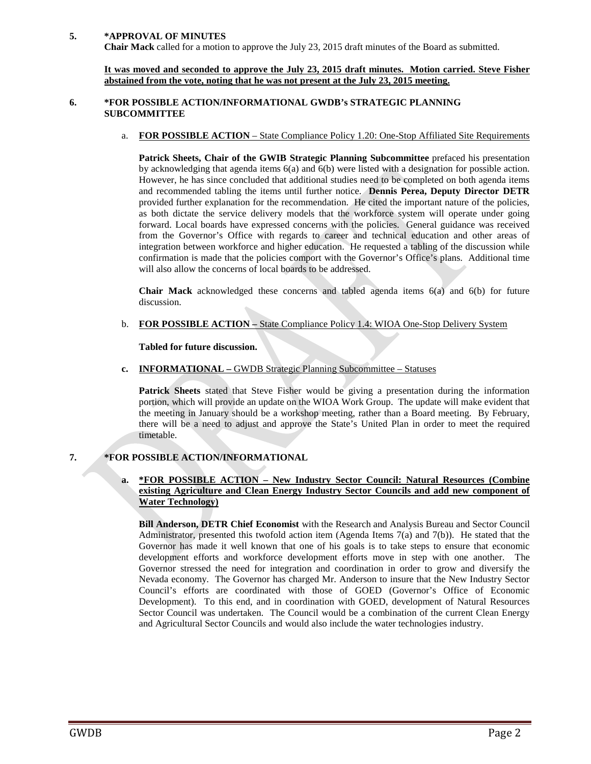#### **5. \*APPROVAL OF MINUTES**

**Chair Mack** called for a motion to approve the July 23, 2015 draft minutes of the Board as submitted.

**It was moved and seconded to approve the July 23, 2015 draft minutes. Motion carried. Steve Fisher abstained from the vote, noting that he was not present at the July 23, 2015 meeting.**

### **6. \*FOR POSSIBLE ACTION/INFORMATIONAL GWDB's STRATEGIC PLANNING SUBCOMMITTEE**

a. **FOR POSSIBLE ACTION** – State Compliance Policy 1.20: One-Stop Affiliated Site Requirements

**Patrick Sheets, Chair of the GWIB Strategic Planning Subcommittee** prefaced his presentation by acknowledging that agenda items 6(a) and 6(b) were listed with a designation for possible action. However, he has since concluded that additional studies need to be completed on both agenda items and recommended tabling the items until further notice. **Dennis Perea, Deputy Director DETR** provided further explanation for the recommendation. He cited the important nature of the policies, as both dictate the service delivery models that the workforce system will operate under going forward. Local boards have expressed concerns with the policies. General guidance was received from the Governor's Office with regards to career and technical education and other areas of integration between workforce and higher education. He requested a tabling of the discussion while confirmation is made that the policies comport with the Governor's Office's plans. Additional time will also allow the concerns of local boards to be addressed.

**Chair Mack** acknowledged these concerns and tabled agenda items 6(a) and 6(b) for future discussion.

b. **FOR POSSIBLE ACTION –** State Compliance Policy 1.4: WIOA One-Stop Delivery System

**Tabled for future discussion.**

**c. INFORMATIONAL –** GWDB Strategic Planning Subcommittee – Statuses

**Patrick Sheets** stated that Steve Fisher would be giving a presentation during the information portion, which will provide an update on the WIOA Work Group. The update will make evident that the meeting in January should be a workshop meeting, rather than a Board meeting. By February, there will be a need to adjust and approve the State's United Plan in order to meet the required timetable.

## **7. \*FOR POSSIBLE ACTION/INFORMATIONAL**

#### **a. \*FOR POSSIBLE ACTION – New Industry Sector Council: Natural Resources (Combine existing Agriculture and Clean Energy Industry Sector Councils and add new component of Water Technology)**

**Bill Anderson, DETR Chief Economist** with the Research and Analysis Bureau and Sector Council Administrator, presented this twofold action item (Agenda Items 7(a) and 7(b)). He stated that the Governor has made it well known that one of his goals is to take steps to ensure that economic development efforts and workforce development efforts move in step with one another. The Governor stressed the need for integration and coordination in order to grow and diversify the Nevada economy. The Governor has charged Mr. Anderson to insure that the New Industry Sector Council's efforts are coordinated with those of GOED (Governor's Office of Economic Development). To this end, and in coordination with GOED, development of Natural Resources Sector Council was undertaken. The Council would be a combination of the current Clean Energy and Agricultural Sector Councils and would also include the water technologies industry.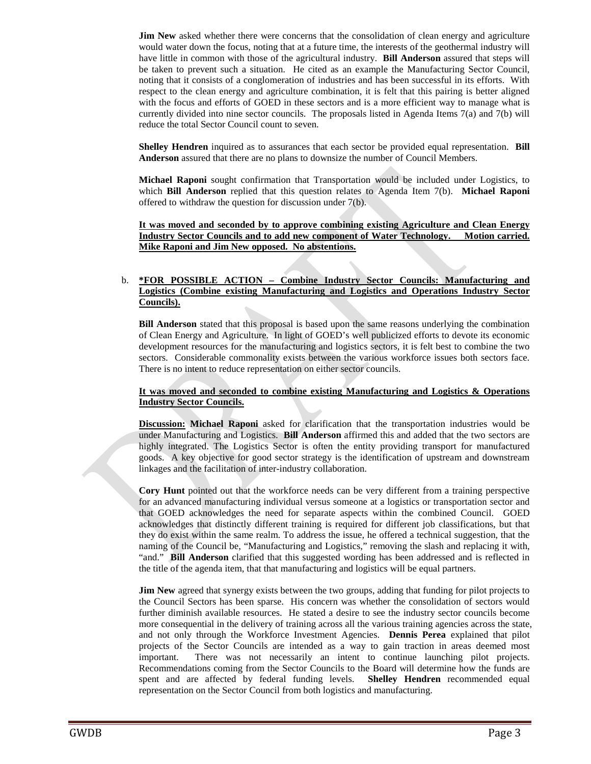**Jim New** asked whether there were concerns that the consolidation of clean energy and agriculture would water down the focus, noting that at a future time, the interests of the geothermal industry will have little in common with those of the agricultural industry. **Bill Anderson** assured that steps will be taken to prevent such a situation. He cited as an example the Manufacturing Sector Council, noting that it consists of a conglomeration of industries and has been successful in its efforts. With respect to the clean energy and agriculture combination, it is felt that this pairing is better aligned with the focus and efforts of GOED in these sectors and is a more efficient way to manage what is currently divided into nine sector councils. The proposals listed in Agenda Items 7(a) and 7(b) will reduce the total Sector Council count to seven.

**Shelley Hendren** inquired as to assurances that each sector be provided equal representation. **Bill Anderson** assured that there are no plans to downsize the number of Council Members.

**Michael Raponi** sought confirmation that Transportation would be included under Logistics, to which **Bill Anderson** replied that this question relates to Agenda Item 7(b). **Michael Raponi** offered to withdraw the question for discussion under 7(b).

**It was moved and seconded by to approve combining existing Agriculture and Clean Energy Industry Sector Councils and to add new component of Water Technology. Motion carried. Mike Raponi and Jim New opposed. No abstentions.**

## b. **\*FOR POSSIBLE ACTION – Combine Industry Sector Councils: Manufacturing and Logistics (Combine existing Manufacturing and Logistics and Operations Industry Sector Councils).**

**Bill Anderson** stated that this proposal is based upon the same reasons underlying the combination of Clean Energy and Agriculture. In light of GOED's well publicized efforts to devote its economic development resources for the manufacturing and logistics sectors, it is felt best to combine the two sectors. Considerable commonality exists between the various workforce issues both sectors face. There is no intent to reduce representation on either sector councils.

## **It was moved and seconded to combine existing Manufacturing and Logistics & Operations Industry Sector Councils.**

**Discussion: Michael Raponi** asked for clarification that the transportation industries would be under Manufacturing and Logistics. **Bill Anderson** affirmed this and added that the two sectors are highly integrated. The Logistics Sector is often the entity providing transport for manufactured goods. A key objective for good sector strategy is the identification of upstream and downstream linkages and the facilitation of inter-industry collaboration.

**Cory Hunt** pointed out that the workforce needs can be very different from a training perspective for an advanced manufacturing individual versus someone at a logistics or transportation sector and that GOED acknowledges the need for separate aspects within the combined Council. GOED acknowledges that distinctly different training is required for different job classifications, but that they do exist within the same realm. To address the issue, he offered a technical suggestion, that the naming of the Council be, "Manufacturing and Logistics," removing the slash and replacing it with, "and." **Bill Anderson** clarified that this suggested wording has been addressed and is reflected in the title of the agenda item, that that manufacturing and logistics will be equal partners.

**Jim New** agreed that synergy exists between the two groups, adding that funding for pilot projects to the Council Sectors has been sparse. His concern was whether the consolidation of sectors would further diminish available resources. He stated a desire to see the industry sector councils become more consequential in the delivery of training across all the various training agencies across the state, and not only through the Workforce Investment Agencies. **Dennis Perea** explained that pilot projects of the Sector Councils are intended as a way to gain traction in areas deemed most important. There was not necessarily an intent to continue launching pilot projects. Recommendations coming from the Sector Councils to the Board will determine how the funds are spent and are affected by federal funding levels. **Shelley Hendren** recommended equal representation on the Sector Council from both logistics and manufacturing.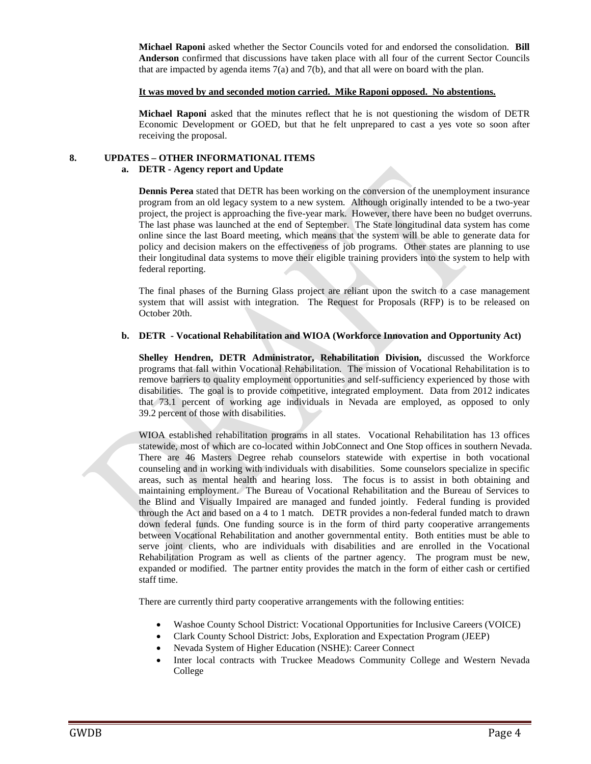**Michael Raponi** asked whether the Sector Councils voted for and endorsed the consolidation. **Bill Anderson** confirmed that discussions have taken place with all four of the current Sector Councils that are impacted by agenda items  $7(a)$  and  $7(b)$ , and that all were on board with the plan.

#### **It was moved by and seconded motion carried. Mike Raponi opposed. No abstentions.**

**Michael Raponi** asked that the minutes reflect that he is not questioning the wisdom of DETR Economic Development or GOED, but that he felt unprepared to cast a yes vote so soon after receiving the proposal.

## **8. UPDATES – OTHER INFORMATIONAL ITEMS**

#### **a. DETR - Agency report and Update**

**Dennis Perea** stated that DETR has been working on the conversion of the unemployment insurance program from an old legacy system to a new system. Although originally intended to be a two-year project, the project is approaching the five-year mark. However, there have been no budget overruns. The last phase was launched at the end of September. The State longitudinal data system has come online since the last Board meeting, which means that the system will be able to generate data for policy and decision makers on the effectiveness of job programs. Other states are planning to use their longitudinal data systems to move their eligible training providers into the system to help with federal reporting.

The final phases of the Burning Glass project are reliant upon the switch to a case management system that will assist with integration. The Request for Proposals (RFP) is to be released on October 20th.

#### **b. DETR - Vocational Rehabilitation and WIOA (Workforce Innovation and Opportunity Act)**

**Shelley Hendren, DETR Administrator, Rehabilitation Division,** discussed the Workforce programs that fall within Vocational Rehabilitation. The mission of Vocational Rehabilitation is to remove barriers to quality employment opportunities and self-sufficiency experienced by those with disabilities. The goal is to provide competitive, integrated employment. Data from 2012 indicates that 73.1 percent of working age individuals in Nevada are employed, as opposed to only 39.2 percent of those with disabilities.

WIOA established rehabilitation programs in all states. Vocational Rehabilitation has 13 offices statewide, most of which are co-located within JobConnect and One Stop offices in southern Nevada. There are 46 Masters Degree rehab counselors statewide with expertise in both vocational counseling and in working with individuals with disabilities. Some counselors specialize in specific areas, such as mental health and hearing loss. The focus is to assist in both obtaining and maintaining employment. The Bureau of Vocational Rehabilitation and the Bureau of Services to the Blind and Visually Impaired are managed and funded jointly. Federal funding is provided through the Act and based on a 4 to 1 match. DETR provides a non-federal funded match to drawn down federal funds. One funding source is in the form of third party cooperative arrangements between Vocational Rehabilitation and another governmental entity. Both entities must be able to serve joint clients, who are individuals with disabilities and are enrolled in the Vocational Rehabilitation Program as well as clients of the partner agency. The program must be new, expanded or modified. The partner entity provides the match in the form of either cash or certified staff time.

There are currently third party cooperative arrangements with the following entities:

- Washoe County School District: Vocational Opportunities for Inclusive Careers (VOICE)
- Clark County School District: Jobs, Exploration and Expectation Program (JEEP)
- Nevada System of Higher Education (NSHE): Career Connect
- Inter local contracts with Truckee Meadows Community College and Western Nevada College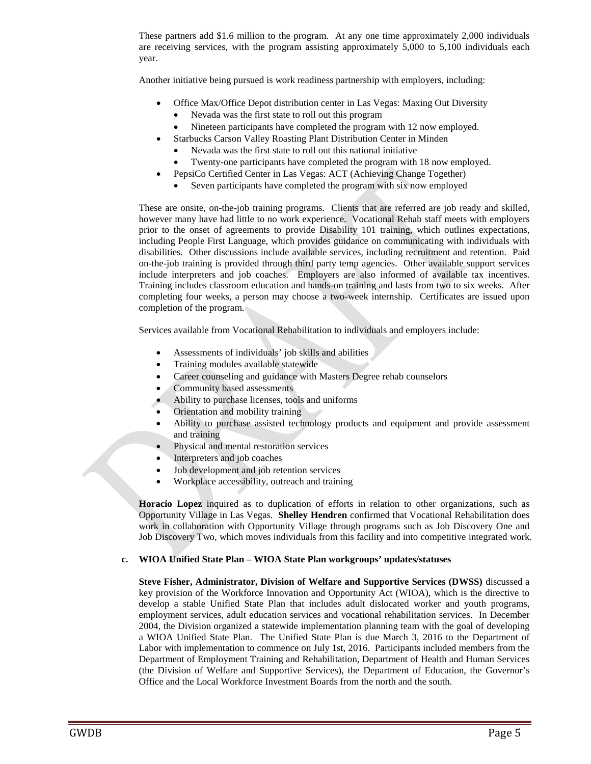These partners add \$1.6 million to the program. At any one time approximately 2,000 individuals are receiving services, with the program assisting approximately 5,000 to 5,100 individuals each year.

Another initiative being pursued is work readiness partnership with employers, including:

- Office Max/Office Depot distribution center in Las Vegas: Maxing Out Diversity
	- Nevada was the first state to roll out this program
- Nineteen participants have completed the program with 12 now employed.
- Starbucks Carson Valley Roasting Plant Distribution Center in Minden
	- Nevada was the first state to roll out this national initiative
	- Twenty-one participants have completed the program with 18 now employed.
- PepsiCo Certified Center in Las Vegas: ACT (Achieving Change Together)
	- Seven participants have completed the program with six now employed

These are onsite, on-the-job training programs. Clients that are referred are job ready and skilled, however many have had little to no work experience. Vocational Rehab staff meets with employers prior to the onset of agreements to provide Disability 101 training, which outlines expectations, including People First Language, which provides guidance on communicating with individuals with disabilities. Other discussions include available services, including recruitment and retention. Paid on-the-job training is provided through third party temp agencies. Other available support services include interpreters and job coaches. Employers are also informed of available tax incentives. Training includes classroom education and hands-on training and lasts from two to six weeks. After completing four weeks, a person may choose a two-week internship. Certificates are issued upon completion of the program.

Services available from Vocational Rehabilitation to individuals and employers include:

- Assessments of individuals' job skills and abilities
- Training modules available statewide
- Career counseling and guidance with Masters Degree rehab counselors
- Community based assessments
- Ability to purchase licenses, tools and uniforms
- Orientation and mobility training
- Ability to purchase assisted technology products and equipment and provide assessment and training
- Physical and mental restoration services
- Interpreters and job coaches
- Job development and job retention services
- Workplace accessibility, outreach and training

**Horacio Lopez** inquired as to duplication of efforts in relation to other organizations, such as Opportunity Village in Las Vegas. **Shelley Hendren** confirmed that Vocational Rehabilitation does work in collaboration with Opportunity Village through programs such as Job Discovery One and Job Discovery Two, which moves individuals from this facility and into competitive integrated work.

## **c. WIOA Unified State Plan – WIOA State Plan workgroups' updates/statuses**

**Steve Fisher, Administrator, Division of Welfare and Supportive Services (DWSS)** discussed a key provision of the Workforce Innovation and Opportunity Act (WIOA), which is the directive to develop a stable Unified State Plan that includes adult dislocated worker and youth programs, employment services, adult education services and vocational rehabilitation services. In December 2004, the Division organized a statewide implementation planning team with the goal of developing a WIOA Unified State Plan. The Unified State Plan is due March 3, 2016 to the Department of Labor with implementation to commence on July 1st, 2016. Participants included members from the Department of Employment Training and Rehabilitation, Department of Health and Human Services (the Division of Welfare and Supportive Services), the Department of Education, the Governor's Office and the Local Workforce Investment Boards from the north and the south.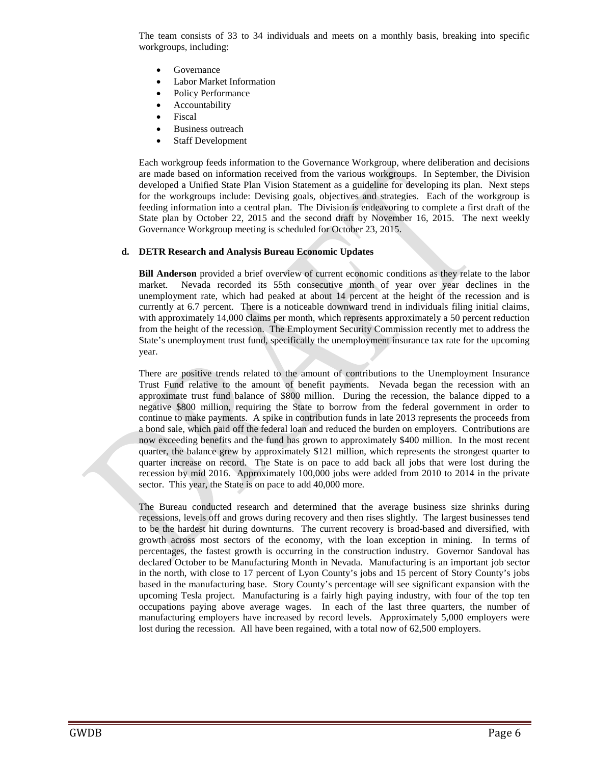The team consists of 33 to 34 individuals and meets on a monthly basis, breaking into specific workgroups, including:

- **Governance**
- Labor Market Information
- Policy Performance
- **Accountability**
- **Fiscal**
- Business outreach
- Staff Development

Each workgroup feeds information to the Governance Workgroup, where deliberation and decisions are made based on information received from the various workgroups. In September, the Division developed a Unified State Plan Vision Statement as a guideline for developing its plan. Next steps for the workgroups include: Devising goals, objectives and strategies. Each of the workgroup is feeding information into a central plan. The Division is endeavoring to complete a first draft of the State plan by October 22, 2015 and the second draft by November 16, 2015. The next weekly Governance Workgroup meeting is scheduled for October 23, 2015.

#### **d. DETR Research and Analysis Bureau Economic Updates**

**Bill Anderson** provided a brief overview of current economic conditions as they relate to the labor market. Nevada recorded its 55th consecutive month of year over year declines in the unemployment rate, which had peaked at about 14 percent at the height of the recession and is currently at 6.7 percent. There is a noticeable downward trend in individuals filing initial claims, with approximately 14,000 claims per month, which represents approximately a 50 percent reduction from the height of the recession. The Employment Security Commission recently met to address the State's unemployment trust fund, specifically the unemployment insurance tax rate for the upcoming year.

There are positive trends related to the amount of contributions to the Unemployment Insurance Trust Fund relative to the amount of benefit payments. Nevada began the recession with an approximate trust fund balance of \$800 million. During the recession, the balance dipped to a negative \$800 million, requiring the State to borrow from the federal government in order to continue to make payments. A spike in contribution funds in late 2013 represents the proceeds from a bond sale, which paid off the federal loan and reduced the burden on employers. Contributions are now exceeding benefits and the fund has grown to approximately \$400 million. In the most recent quarter, the balance grew by approximately \$121 million, which represents the strongest quarter to quarter increase on record. The State is on pace to add back all jobs that were lost during the recession by mid 2016. Approximately 100,000 jobs were added from 2010 to 2014 in the private sector. This year, the State is on pace to add 40,000 more.

The Bureau conducted research and determined that the average business size shrinks during recessions, levels off and grows during recovery and then rises slightly. The largest businesses tend to be the hardest hit during downturns. The current recovery is broad-based and diversified, with growth across most sectors of the economy, with the loan exception in mining. In terms of percentages, the fastest growth is occurring in the construction industry. Governor Sandoval has declared October to be Manufacturing Month in Nevada. Manufacturing is an important job sector in the north, with close to 17 percent of Lyon County's jobs and 15 percent of Story County's jobs based in the manufacturing base. Story County's percentage will see significant expansion with the upcoming Tesla project. Manufacturing is a fairly high paying industry, with four of the top ten occupations paying above average wages. In each of the last three quarters, the number of manufacturing employers have increased by record levels. Approximately 5,000 employers were lost during the recession. All have been regained, with a total now of 62,500 employers.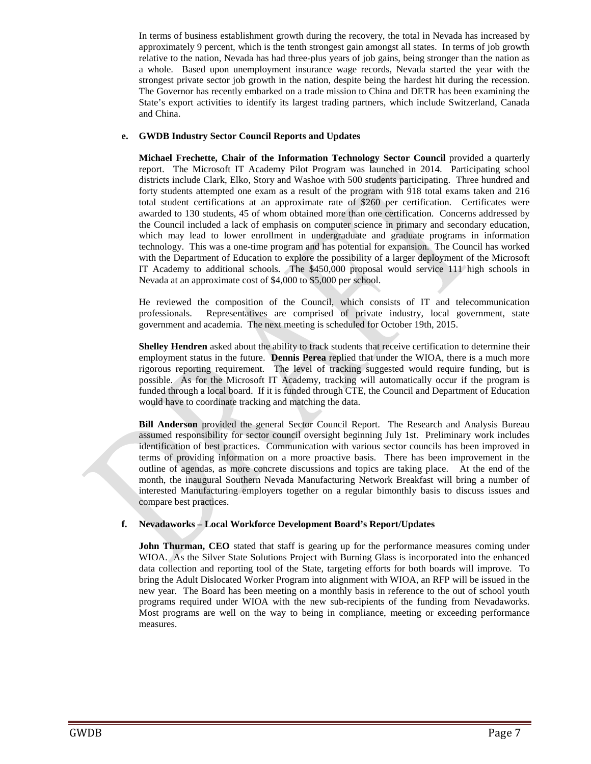In terms of business establishment growth during the recovery, the total in Nevada has increased by approximately 9 percent, which is the tenth strongest gain amongst all states. In terms of job growth relative to the nation, Nevada has had three-plus years of job gains, being stronger than the nation as a whole. Based upon unemployment insurance wage records, Nevada started the year with the strongest private sector job growth in the nation, despite being the hardest hit during the recession. The Governor has recently embarked on a trade mission to China and DETR has been examining the State's export activities to identify its largest trading partners, which include Switzerland, Canada and China.

## **e. GWDB Industry Sector Council Reports and Updates**

**Michael Frechette, Chair of the Information Technology Sector Council** provided a quarterly report. The Microsoft IT Academy Pilot Program was launched in 2014. Participating school districts include Clark, Elko, Story and Washoe with 500 students participating. Three hundred and forty students attempted one exam as a result of the program with 918 total exams taken and 216 total student certifications at an approximate rate of \$260 per certification. Certificates were awarded to 130 students, 45 of whom obtained more than one certification. Concerns addressed by the Council included a lack of emphasis on computer science in primary and secondary education, which may lead to lower enrollment in undergraduate and graduate programs in information technology. This was a one-time program and has potential for expansion. The Council has worked with the Department of Education to explore the possibility of a larger deployment of the Microsoft IT Academy to additional schools. The \$450,000 proposal would service 111 high schools in Nevada at an approximate cost of \$4,000 to \$5,000 per school.

He reviewed the composition of the Council, which consists of IT and telecommunication professionals. Representatives are comprised of private industry, local government, state government and academia. The next meeting is scheduled for October 19th, 2015.

**Shelley Hendren** asked about the ability to track students that receive certification to determine their employment status in the future. **Dennis Perea** replied that under the WIOA, there is a much more rigorous reporting requirement. The level of tracking suggested would require funding, but is possible. As for the Microsoft IT Academy, tracking will automatically occur if the program is funded through a local board. If it is funded through CTE, the Council and Department of Education would have to coordinate tracking and matching the data.

**Bill Anderson** provided the general Sector Council Report. The Research and Analysis Bureau assumed responsibility for sector council oversight beginning July 1st. Preliminary work includes identification of best practices. Communication with various sector councils has been improved in terms of providing information on a more proactive basis. There has been improvement in the outline of agendas, as more concrete discussions and topics are taking place. At the end of the month, the inaugural Southern Nevada Manufacturing Network Breakfast will bring a number of interested Manufacturing employers together on a regular bimonthly basis to discuss issues and compare best practices.

## **f. Nevadaworks – Local Workforce Development Board's Report/Updates**

**John Thurman, CEO** stated that staff is gearing up for the performance measures coming under WIOA. As the Silver State Solutions Project with Burning Glass is incorporated into the enhanced data collection and reporting tool of the State, targeting efforts for both boards will improve. To bring the Adult Dislocated Worker Program into alignment with WIOA, an RFP will be issued in the new year. The Board has been meeting on a monthly basis in reference to the out of school youth programs required under WIOA with the new sub-recipients of the funding from Nevadaworks. Most programs are well on the way to being in compliance, meeting or exceeding performance measures.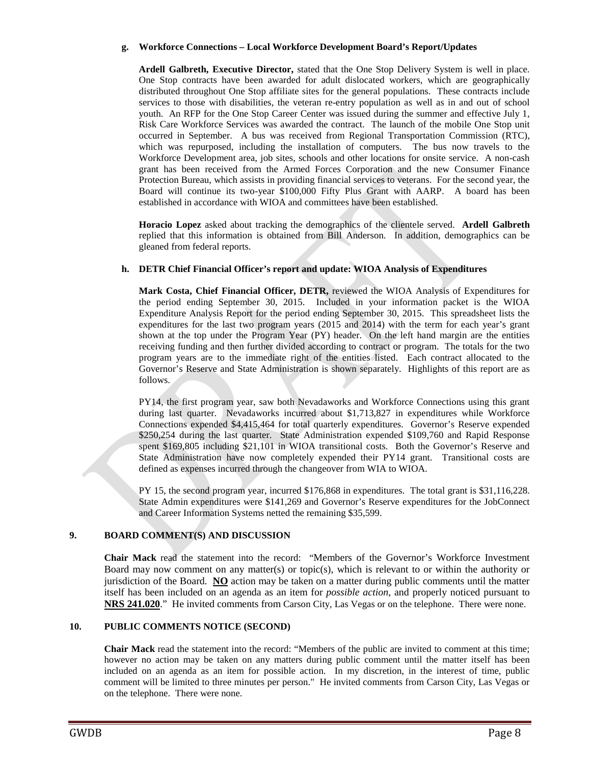## **g. Workforce Connections – Local Workforce Development Board's Report/Updates**

**Ardell Galbreth, Executive Director,** stated that the One Stop Delivery System is well in place. One Stop contracts have been awarded for adult dislocated workers, which are geographically distributed throughout One Stop affiliate sites for the general populations. These contracts include services to those with disabilities, the veteran re-entry population as well as in and out of school youth. An RFP for the One Stop Career Center was issued during the summer and effective July 1, Risk Care Workforce Services was awarded the contract. The launch of the mobile One Stop unit occurred in September. A bus was received from Regional Transportation Commission (RTC), which was repurposed, including the installation of computers. The bus now travels to the Workforce Development area, job sites, schools and other locations for onsite service. A non-cash grant has been received from the Armed Forces Corporation and the new Consumer Finance Protection Bureau, which assists in providing financial services to veterans. For the second year, the Board will continue its two-year \$100,000 Fifty Plus Grant with AARP. A board has been established in accordance with WIOA and committees have been established.

**Horacio Lopez** asked about tracking the demographics of the clientele served. **Ardell Galbreth**  replied that this information is obtained from Bill Anderson. In addition, demographics can be gleaned from federal reports.

## **h. DETR Chief Financial Officer's report and update: WIOA Analysis of Expenditures**

**Mark Costa, Chief Financial Officer, DETR,** reviewed the WIOA Analysis of Expenditures for the period ending September 30, 2015. Included in your information packet is the WIOA Expenditure Analysis Report for the period ending September 30, 2015. This spreadsheet lists the expenditures for the last two program years (2015 and 2014) with the term for each year's grant shown at the top under the Program Year (PY) header. On the left hand margin are the entities receiving funding and then further divided according to contract or program. The totals for the two program years are to the immediate right of the entities listed. Each contract allocated to the Governor's Reserve and State Administration is shown separately. Highlights of this report are as follows.

PY14, the first program year, saw both Nevadaworks and Workforce Connections using this grant during last quarter. Nevadaworks incurred about \$1,713,827 in expenditures while Workforce Connections expended \$4,415,464 for total quarterly expenditures. Governor's Reserve expended \$250,254 during the last quarter. State Administration expended \$109,760 and Rapid Response spent \$169,805 including \$21,101 in WIOA transitional costs. Both the Governor's Reserve and State Administration have now completely expended their PY14 grant. Transitional costs are defined as expenses incurred through the changeover from WIA to WIOA.

PY 15, the second program year, incurred \$176,868 in expenditures. The total grant is \$31,116,228. State Admin expenditures were \$141,269 and Governor's Reserve expenditures for the JobConnect and Career Information Systems netted the remaining \$35,599.

## **9. BOARD COMMENT(S) AND DISCUSSION**

**Chair Mack** read the statement into the record: "Members of the Governor's Workforce Investment Board may now comment on any matter(s) or topic(s), which is relevant to or within the authority or jurisdiction of the Board. **NO** action may be taken on a matter during public comments until the matter itself has been included on an agenda as an item for *possible action*, and properly noticed pursuant to **[NRS 241.020](http://www.leg.state.nv.us/NRS/NRS-241.html%23NRS241Sec020)**." He invited comments from Carson City, Las Vegas or on the telephone. There were none.

## **10. PUBLIC COMMENTS NOTICE (SECOND)**

**Chair Mack** read the statement into the record: "Members of the public are invited to comment at this time; however no action may be taken on any matters during public comment until the matter itself has been included on an agenda as an item for possible action. In my discretion, in the interest of time, public comment will be limited to three minutes per person." He invited comments from Carson City, Las Vegas or on the telephone. There were none.